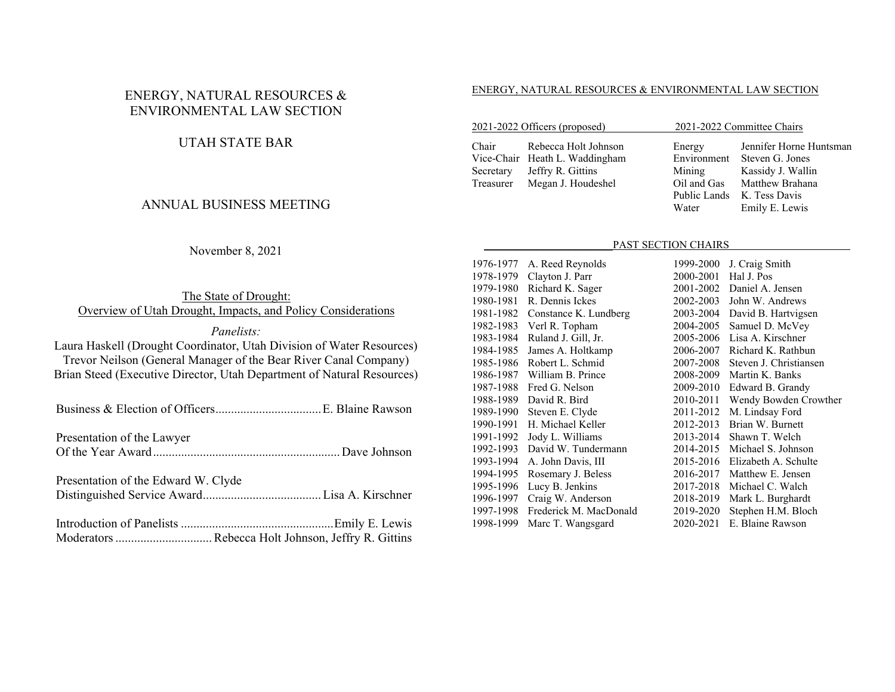## ENERGY, NATURAL RESOURCES & ENVIRONMENTAL LAW SECTION

## UTAH STATE BAR

## ANNUAL BUSINESS MEETING

### November 8, 2021

The State of Drought: Overview of Utah Drought, Impacts, and Policy Considerations

#### *Panelists:*

Laura Haskell (Drought Coordinator, Utah Division of Water Resources) Trevor Neilson (General Manager of the Bear River Canal Company) Brian Steed (Executive Director, Utah Department of Natural Resources)

Business & Election of Officers .................................. E. Blaine Rawson

Presentation of the Lawyer

Of the Year Award ............................................................ Dave Johnson

Presentation of the Edward W. Clyde Distinguished Service Award ...................................... Lisa A. Kirschner

#### ENERGY, NATURAL RESOURCES & ENVIRONMENTAL LAW SECTION

| 2021-2022 Officers (proposed) |                                | 2021-2022 Committee Chairs |                         |
|-------------------------------|--------------------------------|----------------------------|-------------------------|
| Chair                         | Rebecca Holt Johnson           | Energy                     | Jennifer Horne Huntsman |
|                               | Vice-Chair Heath L. Waddingham | Environment                | Steven G. Jones         |
| Secretary                     | Jeffry R. Gittins              | Mining                     | Kassidy J. Wallin       |
| Treasurer                     | Megan J. Houdeshel             | Oil and Gas                | Matthew Brahana         |
|                               |                                | Public Lands               | K. Tess Davis           |

#### PAST SECTION CHAIRS

Water Emily E. Lewis

| A. Reed Reynolds              | 1999-2000 | J. Craig Smith         |
|-------------------------------|-----------|------------------------|
| Clayton J. Parr               | 2000-2001 | Hal J. Pos             |
| Richard K. Sager              | 2001-2002 | Daniel A. Jensen       |
| R. Dennis Ickes               | 2002-2003 | John W. Andrews        |
| Constance K. Lundberg         | 2003-2004 | David B. Hartvigsen    |
| Verl R. Topham                |           | Samuel D. McVey        |
| Ruland J. Gill, Jr.           | 2005-2006 | Lisa A. Kirschner      |
| James A. Holtkamp             | 2006-2007 | Richard K. Rathbun     |
| 1985-1986<br>Robert L. Schmid | 2007-2008 | Steven J. Christiansen |
| William B. Prince             | 2008-2009 | Martin K. Banks        |
| Fred G. Nelson                | 2009-2010 | Edward B. Grandy       |
| 1988-1989<br>David R. Bird    | 2010-2011 | Wendy Bowden Crowther  |
| Steven E. Clyde               | 2011-2012 | M. Lindsay Ford        |
| H. Michael Keller             | 2012-2013 | Brian W. Burnett       |
| Jody L. Williams              | 2013-2014 | Shawn T. Welch         |
| David W. Tundermann           | 2014-2015 | Michael S. Johnson     |
| A. John Davis, III            | 2015-2016 | Elizabeth A. Schulte   |
| Rosemary J. Beless            | 2016-2017 | Matthew E. Jensen      |
| Lucy B. Jenkins               | 2017-2018 | Michael C. Walch       |
| Craig W. Anderson             | 2018-2019 | Mark L. Burghardt      |
| Frederick M. MacDonald        | 2019-2020 | Stephen H.M. Bloch     |
| Marc T. Wangsgard             | 2020-2021 | E. Blaine Rawson       |
|                               |           | 2004-2005              |